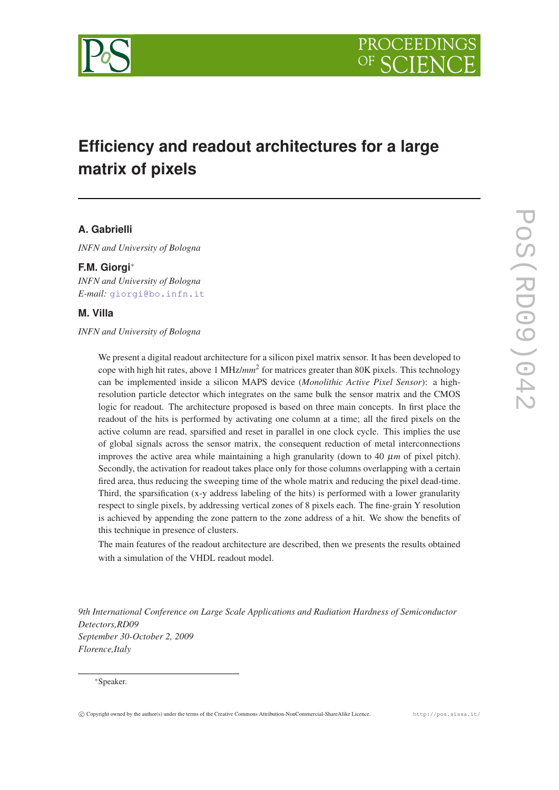

# **Efficiency and readout architectures for a large matrix of pixels**

# **A. Gabrielli**

*INFN and University of Bologna*

# **F.M. Giorgi**<sup>∗</sup>

*INFN and University of Bologna E-mail:* [giorgi@bo.infn.it](mailto:giorgi@bo.infn.it)

# **M. Villa**

*INFN and University of Bologna*

We present a digital readout architecture for a silicon pixel matrix sensor. It has been developed to cope with high hit rates, above 1 MHz/*mm*<sup>2</sup> for matrices greater than 80K pixels. This technology can be implemented inside a silicon MAPS device (*Monolithic Active Pixel Sensor*): a highresolution particle detector which integrates on the same bulk the sensor matrix and the CMOS logic for readout. The architecture proposed is based on three main concepts. In first place the readout of the hits is performed by activating one column at a time; all the fired pixels on the active column are read, sparsified and reset in parallel in one clock cycle. This implies the use of global signals across the sensor matrix, the consequent reduction of metal interconnections improves the active area while maintaining a high granularity (down to 40  $\mu$ m of pixel pitch). Secondly, the activation for readout takes place only for those columns overlapping with a certain fired area, thus reducing the sweeping time of the whole matrix and reducing the pixel dead-time. Third, the sparsification (x-y address labeling of the hits) is performed with a lower granularity respect to single pixels, by addressing vertical zones of 8 pixels each. The fine-grain Y resolution is achieved by appending the zone pattern to the zone address of a hit. We show the benefits of this technique in presence of clusters.

The main features of the readout architecture are described, then we presents the results obtained with a simulation of the VHDL readout model.

*9th International Conference on Large Scale Applications and Radiation Hardness of Semiconductor Detectors,RD09 September 30-October 2, 2009 Florence,Italy*

#### <sup>∗</sup>Speaker.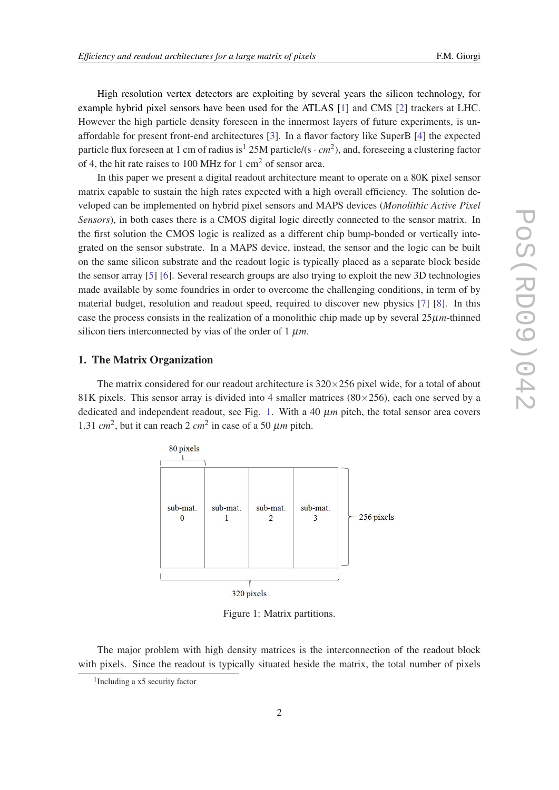High resolution vertex detectors are exploiting by several years the silicon technology, for example hybrid pixel sensors have been used for the ATLAS [[1](#page-8-0)] and CMS [\[2\]](#page-8-0) trackers at LHC. However the high particle density foreseen in the innermost layers of future experiments, is unaffordable for present front-end architectures [[3\]](#page-8-0). In a flavor factory like SuperB [[4](#page-8-0)] the expected particle flux foreseen at 1 cm of radius is<sup>1</sup> 25M particle/(s  $\cdot$  *cm*<sup>2</sup>), and, foreseeing a clustering factor of 4, the hit rate raises to 100 MHz for 1 cm<sup>2</sup> of sensor area.

In this paper we present a digital readout architecture meant to operate on a 80K pixel sensor matrix capable to sustain the high rates expected with a high overall efficiency. The solution developed can be implemented on hybrid pixel sensors and MAPS devices (*Monolithic Active Pixel Sensors*), in both cases there is a CMOS digital logic directly connected to the sensor matrix. In the first solution the CMOS logic is realized as a different chip bump-bonded or vertically integrated on the sensor substrate. In a MAPS device, instead, the sensor and the logic can be built on the same silicon substrate and the readout logic is typically placed as a separate block beside the sensor array [[5](#page-8-0)] [[6](#page-8-0)]. Several research groups are also trying to exploit the new 3D technologies made available by some foundries in order to overcome the challenging conditions, in term of by material budget, resolution and readout speed, required to discover new physics [[7\]](#page-8-0) [\[8](#page-8-0)]. In this case the process consists in the realization of a monolithic chip made up by several  $25\mu m$ -thinned silicon tiers interconnected by vias of the order of  $1 \mu m$ .

#### 1. The Matrix Organization

The matrix considered for our readout architecture is  $320 \times 256$  pixel wide, for a total of about 81K pixels. This sensor array is divided into 4 smaller matrices  $(80\times256)$ , each one served by a dedicated and independent readout, see Fig. 1. With a 40  $\mu$ m pitch, the total sensor area covers 1.31  $cm^2$ , but it can reach 2  $cm^2$  in case of a 50  $\mu$ *m* pitch.



Figure 1: Matrix partitions.

The major problem with high density matrices is the interconnection of the readout block with pixels. Since the readout is typically situated beside the matrix, the total number of pixels

<sup>1</sup> Including a x5 security factor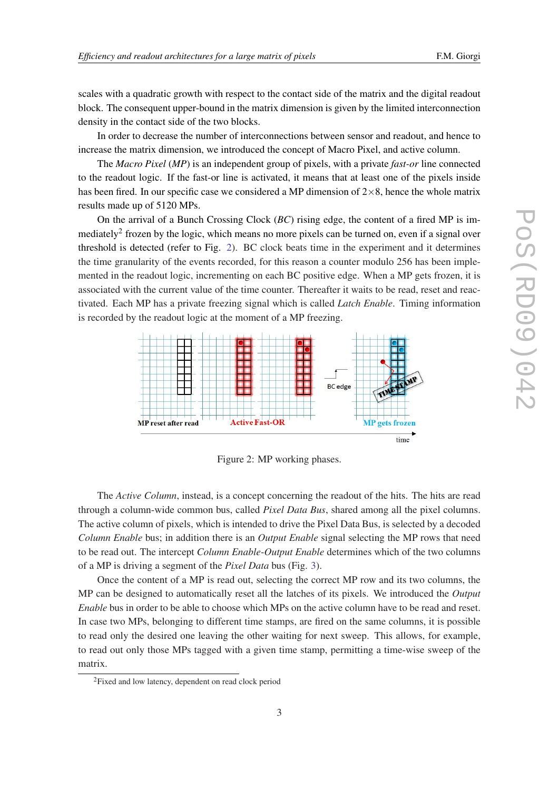scales with a quadratic growth with respect to the contact side of the matrix and the digital readout block. The consequent upper-bound in the matrix dimension is given by the limited interconnection density in the contact side of the two blocks.

In order to decrease the number of interconnections between sensor and readout, and hence to increase the matrix dimension, we introduced the concept of Macro Pixel, and active column.

The *Macro Pixel* (*MP*) is an independent group of pixels, with a private *fast-or* line connected to the readout logic. If the fast-or line is activated, it means that at least one of the pixels inside has been fired. In our specific case we considered a MP dimension of  $2\times 8$ , hence the whole matrix results made up of 5120 MPs.

On the arrival of a Bunch Crossing Clock (*BC*) rising edge, the content of a fired MP is immediately<sup>2</sup> frozen by the logic, which means no more pixels can be turned on, even if a signal over threshold is detected (refer to Fig. 2). BC clock beats time in the experiment and it determines the time granularity of the events recorded, for this reason a counter modulo 256 has been implemented in the readout logic, incrementing on each BC positive edge. When a MP gets frozen, it is associated with the current value of the time counter. Thereafter it waits to be read, reset and reactivated. Each MP has a private freezing signal which is called *Latch Enable*. Timing information is recorded by the readout logic at the moment of a MP freezing.



Figure 2: MP working phases.

The *Active Column*, instead, is a concept concerning the readout of the hits. The hits are read through a column-wide common bus, called *Pixel Data Bus*, shared among all the pixel columns. The active column of pixels, which is intended to drive the Pixel Data Bus, is selected by a decoded *Column Enable* bus; in addition there is an *Output Enable* signal selecting the MP rows that need to be read out. The intercept *Column Enable*-*Output Enable* determines which of the two columns of a MP is driving a segment of the *Pixel Data* bus (Fig. [3\)](#page-3-0).

Once the content of a MP is read out, selecting the correct MP row and its two columns, the MP can be designed to automatically reset all the latches of its pixels. We introduced the *Output Enable* bus in order to be able to choose which MPs on the active column have to be read and reset. In case two MPs, belonging to different time stamps, are fired on the same columns, it is possible to read only the desired one leaving the other waiting for next sweep. This allows, for example, to read out only those MPs tagged with a given time stamp, permitting a time-wise sweep of the matrix.

<sup>2</sup>Fixed and low latency, dependent on read clock period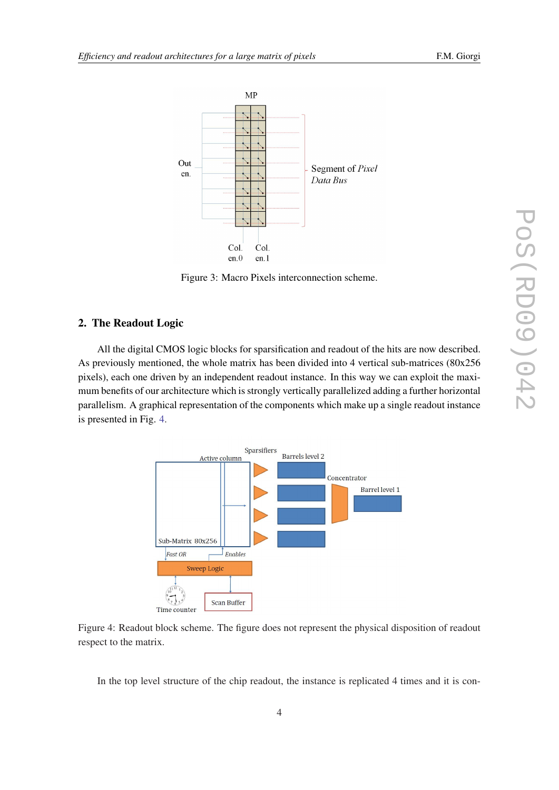<span id="page-3-0"></span>

Figure 3: Macro Pixels interconnection scheme.

#### 2. The Readout Logic

All the digital CMOS logic blocks for sparsification and readout of the hits are now described. As previously mentioned, the whole matrix has been divided into 4 vertical sub-matrices (80x256 pixels), each one driven by an independent readout instance. In this way we can exploit the maximum benefits of our architecture which is strongly vertically parallelized adding a further horizontal parallelism. A graphical representation of the components which make up a single readout instance is presented in Fig. 4.



Figure 4: Readout block scheme. The figure does not represent the physical disposition of readout respect to the matrix.

In the top level structure of the chip readout, the instance is replicated 4 times and it is con-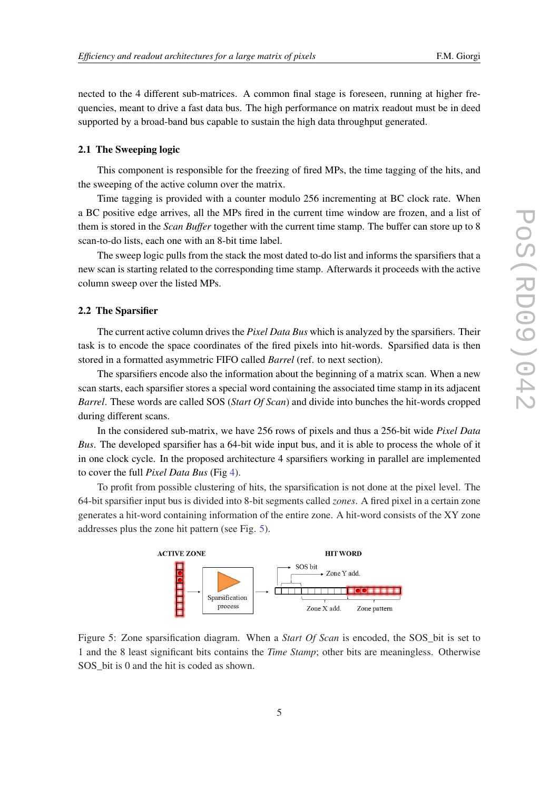<span id="page-4-0"></span>nected to the 4 different sub-matrices. A common final stage is foreseen, running at higher frequencies, meant to drive a fast data bus. The high performance on matrix readout must be in deed supported by a broad-band bus capable to sustain the high data throughput generated.

#### 2.1 The Sweeping logic

This component is responsible for the freezing of fired MPs, the time tagging of the hits, and the sweeping of the active column over the matrix.

Time tagging is provided with a counter modulo 256 incrementing at BC clock rate. When a BC positive edge arrives, all the MPs fired in the current time window are frozen, and a list of them is stored in the *Scan Buffer* together with the current time stamp. The buffer can store up to 8 scan-to-do lists, each one with an 8-bit time label.

The sweep logic pulls from the stack the most dated to-do list and informs the sparsifiers that a new scan is starting related to the corresponding time stamp. Afterwards it proceeds with the active column sweep over the listed MPs.

#### 2.2 The Sparsifier

The current active column drives the *Pixel Data Bus* which is analyzed by the sparsifiers. Their task is to encode the space coordinates of the fired pixels into hit-words. Sparsified data is then stored in a formatted asymmetric FIFO called *Barrel* (ref. to next section).

The sparsifiers encode also the information about the beginning of a matrix scan. When a new scan starts, each sparsifier stores a special word containing the associated time stamp in its adjacent *Barrel*. These words are called SOS (*Start Of Scan*) and divide into bunches the hit-words cropped during different scans.

In the considered sub-matrix, we have 256 rows of pixels and thus a 256-bit wide *Pixel Data Bus*. The developed sparsifier has a 64-bit wide input bus, and it is able to process the whole of it in one clock cycle. In the proposed architecture 4 sparsifiers working in parallel are implemented to cover the full *Pixel Data Bus* (Fig [4](#page-3-0)).

To profit from possible clustering of hits, the sparsification is not done at the pixel level. The 64-bit sparsifier input bus is divided into 8-bit segments called *zones*. A fired pixel in a certain zone generates a hit-word containing information of the entire zone. A hit-word consists of the XY zone addresses plus the zone hit pattern (see Fig. 5).



Figure 5: Zone sparsification diagram. When a *Start Of Scan* is encoded, the SOS\_bit is set to 1 and the 8 least significant bits contains the *Time Stamp*; other bits are meaningless. Otherwise SOS bit is 0 and the hit is coded as shown.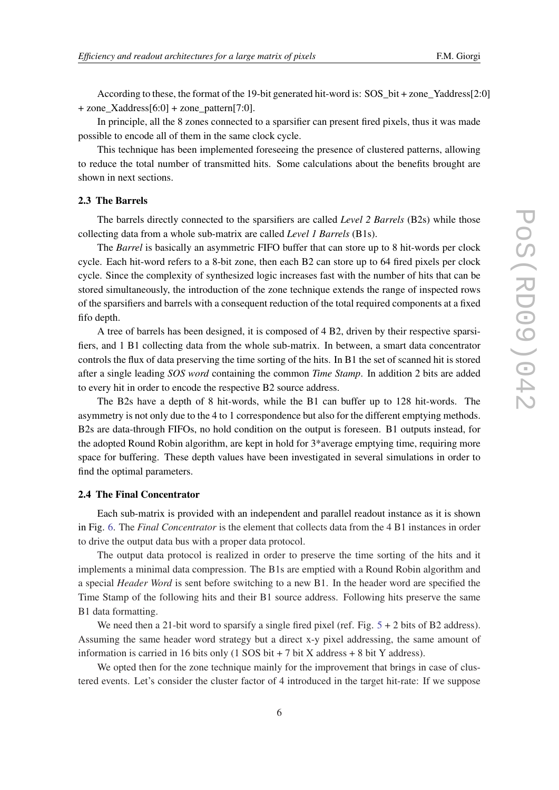According to these, the format of the 19-bit generated hit-word is: SOS\_bit + zone\_Yaddress[2:0] + zone\_Xaddress[6:0] + zone\_pattern[7:0].

In principle, all the 8 zones connected to a sparsifier can present fired pixels, thus it was made possible to encode all of them in the same clock cycle.

This technique has been implemented foreseeing the presence of clustered patterns, allowing to reduce the total number of transmitted hits. Some calculations about the benefits brought are shown in next sections.

### 2.3 The Barrels

The barrels directly connected to the sparsifiers are called *Level 2 Barrels* (B2s) while those collecting data from a whole sub-matrix are called *Level 1 Barrels* (B1s).

The *Barrel* is basically an asymmetric FIFO buffer that can store up to 8 hit-words per clock cycle. Each hit-word refers to a 8-bit zone, then each B2 can store up to 64 fired pixels per clock cycle. Since the complexity of synthesized logic increases fast with the number of hits that can be stored simultaneously, the introduction of the zone technique extends the range of inspected rows of the sparsifiers and barrels with a consequent reduction of the total required components at a fixed fifo depth.

A tree of barrels has been designed, it is composed of 4 B2, driven by their respective sparsifiers, and 1 B1 collecting data from the whole sub-matrix. In between, a smart data concentrator controls the flux of data preserving the time sorting of the hits. In B1 the set of scanned hit is stored after a single leading *SOS word* containing the common *Time Stamp*. In addition 2 bits are added to every hit in order to encode the respective B2 source address.

The B2s have a depth of 8 hit-words, while the B1 can buffer up to 128 hit-words. The asymmetry is not only due to the 4 to 1 correspondence but also for the different emptying methods. B2s are data-through FIFOs, no hold condition on the output is foreseen. B1 outputs instead, for the adopted Round Robin algorithm, are kept in hold for 3\*average emptying time, requiring more space for buffering. These depth values have been investigated in several simulations in order to find the optimal parameters.

#### 2.4 The Final Concentrator

Each sub-matrix is provided with an independent and parallel readout instance as it is shown in Fig. [6.](#page-6-0) The *Final Concentrator* is the element that collects data from the 4 B1 instances in order to drive the output data bus with a proper data protocol.

The output data protocol is realized in order to preserve the time sorting of the hits and it implements a minimal data compression. The B1s are emptied with a Round Robin algorithm and a special *Header Word* is sent before switching to a new B1. In the header word are specified the Time Stamp of the following hits and their B1 source address. Following hits preserve the same B1 data formatting.

We need then a 21-bit word to sparsify a single fired pixel (ref. Fig.  $5 + 2$  $5 + 2$  bits of B2 address). Assuming the same header word strategy but a direct x-y pixel addressing, the same amount of information is carried in 16 bits only  $(1$  SOS bit + 7 bit X address + 8 bit Y address).

We opted then for the zone technique mainly for the improvement that brings in case of clustered events. Let's consider the cluster factor of 4 introduced in the target hit-rate: If we suppose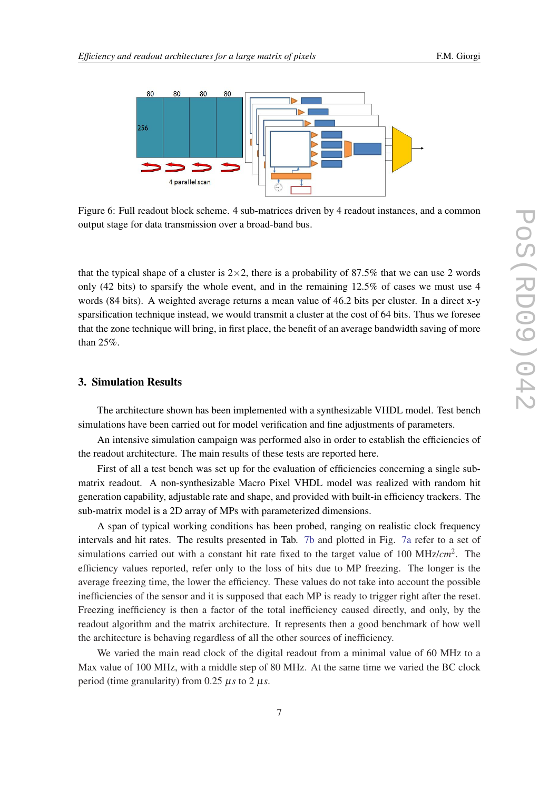<span id="page-6-0"></span>

Figure 6: Full readout block scheme. 4 sub-matrices driven by 4 readout instances, and a common output stage for data transmission over a broad-band bus.

that the typical shape of a cluster is  $2\times 2$ , there is a probability of 87.5% that we can use 2 words only (42 bits) to sparsify the whole event, and in the remaining  $12.5\%$  of cases we must use 4 words (84 bits). A weighted average returns a mean value of 46.2 bits per cluster. In a direct x-y sparsification technique instead, we would transmit a cluster at the cost of 64 bits. Thus we foresee that the zone technique will bring, in first place, the benefit of an average bandwidth saving of more than 25%.

#### 3. Simulation Results

The architecture shown has been implemented with a synthesizable VHDL model. Test bench simulations have been carried out for model verification and fine adjustments of parameters.

An intensive simulation campaign was performed also in order to establish the efficiencies of the readout architecture. The main results of these tests are reported here.

First of all a test bench was set up for the evaluation of efficiencies concerning a single submatrix readout. A non-synthesizable Macro Pixel VHDL model was realized with random hit generation capability, adjustable rate and shape, and provided with built-in efficiency trackers. The sub-matrix model is a 2D array of MPs with parameterized dimensions.

A span of typical working conditions has been probed, ranging on realistic clock frequency intervals and hit rates. The results presented in Tab. [7b](#page-7-0) and plotted in Fig. [7a](#page-7-0) refer to a set of simulations carried out with a constant hit rate fixed to the target value of 100 MHz/*cm*<sup>2</sup> . The efficiency values reported, refer only to the loss of hits due to MP freezing. The longer is the average freezing time, the lower the efficiency. These values do not take into account the possible inefficiencies of the sensor and it is supposed that each MP is ready to trigger right after the reset. Freezing inefficiency is then a factor of the total inefficiency caused directly, and only, by the readout algorithm and the matrix architecture. It represents then a good benchmark of how well the architecture is behaving regardless of all the other sources of inefficiency.

We varied the main read clock of the digital readout from a minimal value of 60 MHz to a Max value of 100 MHz, with a middle step of 80 MHz. At the same time we varied the BC clock period (time granularity) from  $0.25 \mu s$  to  $2 \mu s$ .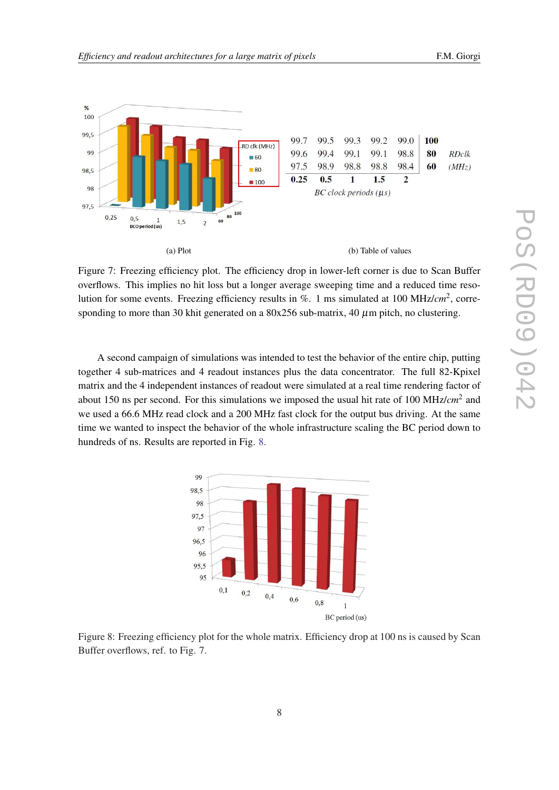<span id="page-7-0"></span>



Figure 7: Freezing efficiency plot. The efficiency drop in lower-left corner is due to Scan Buffer overflows. This implies no hit loss but a longer average sweeping time and a reduced time resolution for some events. Freezing efficiency results in %. 1 ms simulated at 100 MHz/*cm*<sup>2</sup> , corresponding to more than 30 khit generated on a  $80x256$  sub-matrix, 40  $\mu$ m pitch, no clustering.

A second campaign of simulations was intended to test the behavior of the entire chip, putting together 4 sub-matrices and 4 readout instances plus the data concentrator. The full 82-Kpixel matrix and the 4 independent instances of readout were simulated at a real time rendering factor of about 150 ns per second. For this simulations we imposed the usual hit rate of 100 MHz/*cm*<sup>2</sup> and we used a 66.6 MHz read clock and a 200 MHz fast clock for the output bus driving. At the same time we wanted to inspect the behavior of the whole infrastructure scaling the BC period down to hundreds of ns. Results are reported in Fig. 8.



Figure 8: Freezing efficiency plot for the whole matrix. Efficiency drop at 100 ns is caused by Scan Buffer overflows, ref. to Fig. 7.